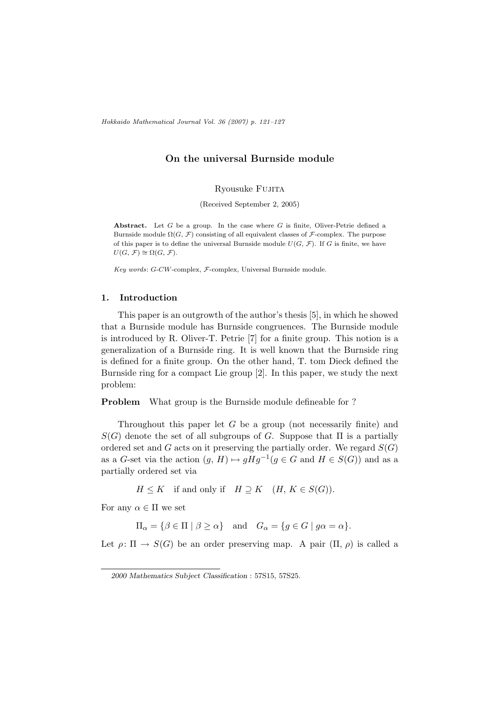Hokkaido Mathematical Journal Vol. 36 (2007) p. 121–127

# On the universal Burnside module

Ryousuke Fujita

(Received September 2, 2005)

Abstract. Let  $G$  be a group. In the case where  $G$  is finite, Oliver-Petrie defined a Burnside module  $\Omega(G, \mathcal{F})$  consisting of all equivalent classes of  $\mathcal{F}$ -complex. The purpose of this paper is to define the universal Burnside module  $U(G, \mathcal{F})$ . If G is finite, we have  $U(G, \mathcal{F}) \cong \Omega(G, \mathcal{F}).$ 

Key words: G-CW-complex, F-complex, Universal Burnside module.

### 1. Introduction

This paper is an outgrowth of the author's thesis [5], in which he showed that a Burnside module has Burnside congruences. The Burnside module is introduced by R. Oliver-T. Petrie [7] for a finite group. This notion is a generalization of a Burnside ring. It is well known that the Burnside ring is defined for a finite group. On the other hand, T. tom Dieck defined the Burnside ring for a compact Lie group [2]. In this paper, we study the next problem:

Problem What group is the Burnside module defineable for ?

Throughout this paper let G be a group (not necessarily finite) and  $S(G)$  denote the set of all subgroups of G. Suppose that  $\Pi$  is a partially ordered set and G acts on it preserving the partially order. We regard  $S(G)$ as a G-set via the action  $(g, H) \mapsto gHg^{-1}(g \in G \text{ and } H \in S(G))$  and as a partially ordered set via

 $H \leq K$  if and only if  $H \supseteq K$   $(H, K \in S(G)).$ 

For any  $\alpha \in \Pi$  we set

 $\Pi_{\alpha} = \{ \beta \in \Pi \mid \beta \ge \alpha \}$  and  $G_{\alpha} = \{ g \in G \mid g\alpha = \alpha \}.$ 

Let  $\rho: \Pi \to S(G)$  be an order preserving map. A pair  $(\Pi, \rho)$  is called a

<sup>2000</sup> Mathematics Subject Classification : 57S15, 57S25.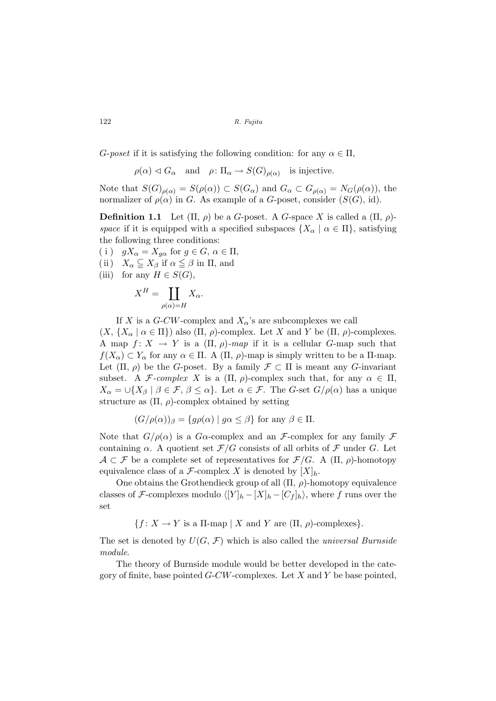122 R. Fujita

G-poset if it is satisfying the following condition: for any  $\alpha \in \Pi$ ,

 $\rho(\alpha) \lhd G_{\alpha}$  and  $\rho: \Pi_{\alpha} \to S(G)_{\rho(\alpha)}$  is injective.

Note that  $S(G)_{\rho(\alpha)} = S(\rho(\alpha)) \subset S(G_\alpha)$  and  $G_\alpha \subset G_{\rho(\alpha)} = N_G(\rho(\alpha))$ , the normalizer of  $\rho(\alpha)$  in G. As example of a G-poset, consider  $(S(G), id)$ .

**Definition 1.1** Let  $(\Pi, \rho)$  be a G-poset. A G-space X is called a  $(\Pi, \rho)$ space if it is equipped with a specified subspaces  $\{X_\alpha \mid \alpha \in \Pi\}$ , satisfying the following three conditions:

(i)  $gX_{\alpha} = X_{q\alpha}$  for  $g \in G, \alpha \in \Pi$ ,

- (ii)  $X_{\alpha} \subseteqq X_{\beta}$  if  $\alpha \leqq \beta$  in  $\Pi$ , and
- (iii) for any  $H \in S(G)$ ,

$$
X^H = \coprod_{\rho(\alpha)=H} X_{\alpha}.
$$

If X is a G-CW-complex and  $X_{\alpha}$ 's are subcomplexes we call

 $(X, \{X_{\alpha} \mid \alpha \in \Pi\})$  also  $(\Pi, \rho)$ -complex. Let X and Y be  $(\Pi, \rho)$ -complexes. A map  $f: X \to Y$  is a  $(\Pi, \rho)$ -map if it is a cellular G-map such that  $f(X_\alpha) \subset Y_\alpha$  for any  $\alpha \in \Pi$ . A  $(\Pi, \rho)$ -map is simply written to be a  $\Pi$ -map. Let  $(\Pi, \rho)$  be the G-poset. By a family  $\mathcal{F} \subset \Pi$  is meant any G-invariant subset. A F-complex X is a  $(\Pi, \rho)$ -complex such that, for any  $\alpha \in \Pi$ ,  $X_{\alpha} = \bigcup \{X_{\beta} \mid \beta \in \mathcal{F}, \beta \leq \alpha\}.$  Let  $\alpha \in \mathcal{F}$ . The G-set  $G/\rho(\alpha)$  has a unique structure as  $(\Pi, \rho)$ -complex obtained by setting

$$
(G/\rho(\alpha))_{\beta} = \{ g\rho(\alpha) \mid g\alpha \le \beta \} \text{ for any } \beta \in \Pi.
$$

Note that  $G/\rho(\alpha)$  is a  $G\alpha$ -complex and an F-complex for any family F containing  $\alpha$ . A quotient set  $\mathcal{F}/G$  consists of all orbits of  $\mathcal F$  under G. Let  $A \subset \mathcal{F}$  be a complete set of representatives for  $\mathcal{F}/G$ . A  $(\Pi, \rho)$ -homotopy equivalence class of a  $\mathcal{F}\text{-complex } X$  is denoted by  $[X]_h$ .

One obtains the Grothendieck group of all  $(\Pi, \rho)$ -homotopy equivalence classes of F-complexes modulo  $\langle [Y]_h - [X]_h - [C_f]_h \rangle$ , where f runs over the set

 ${f : X \to Y \text{ is a } \Pi\text{-map} \mid X \text{ and } Y \text{ are } (\Pi, \rho)\text{-complexes}}.$ 

The set is denoted by  $U(G, \mathcal{F})$  which is also called the *universal Burnside* module.

The theory of Burnside module would be better developed in the category of finite, base pointed  $G-CW$ -complexes. Let X and Y be base pointed,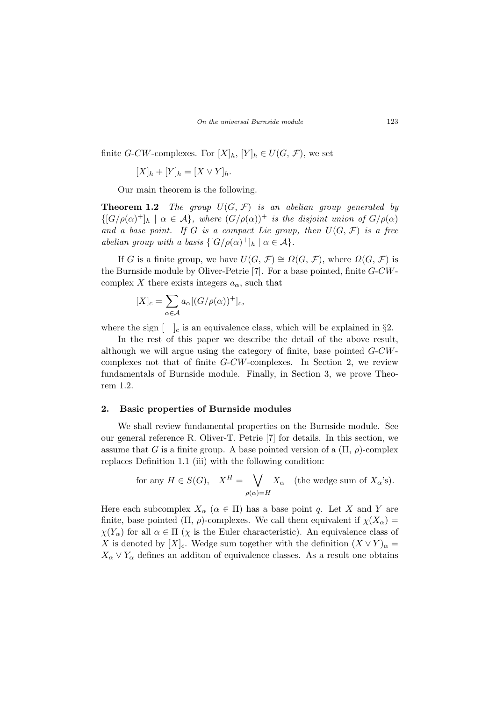finite *G-CW*-complexes. For  $[X]_h$ ,  $[Y]_h \in U(G, \mathcal{F})$ , we set

$$
[X]_h + [Y]_h = [X \vee Y]_h.
$$

Our main theorem is the following.

**Theorem 1.2** The group  $U(G, \mathcal{F})$  is an abelian group generated by  $\{[G/\rho(\alpha)^+]_h \mid \alpha \in \mathcal{A}\}\$ , where  $(G/\rho(\alpha))^+$  is the disjoint union of  $G/\rho(\alpha)$ and a base point. If G is a compact Lie group, then  $U(G, \mathcal{F})$  is a free abelian group with a basis  $\{[G/\rho(\alpha)^+]_h \mid \alpha \in \mathcal{A}\}.$ 

If G is a finite group, we have  $U(G, \mathcal{F}) \cong \Omega(G, \mathcal{F})$ , where  $\Omega(G, \mathcal{F})$  is the Burnside module by Oliver-Petrie [7]. For a base pointed, finite G-CWcomplex X there exists integers  $a_{\alpha}$ , such that

$$
[X]_c = \sum_{\alpha \in \mathcal{A}} a_{\alpha} [(G/\rho(\alpha))^+]_c,
$$

where the sign  $\left[\begin{array}{c} \n\end{array}\right]_c$  is an equivalence class, which will be explained in §2.

In the rest of this paper we describe the detail of the above result, although we will argue using the category of finite, base pointed G-CWcomplexes not that of finite G-CW-complexes. In Section 2, we review fundamentals of Burnside module. Finally, in Section 3, we prove Theorem 1.2.

### 2. Basic properties of Burnside modules

We shall review fundamental properties on the Burnside module. See our general reference R. Oliver-T. Petrie [7] for details. In this section, we assume that G is a finite group. A base pointed version of a  $(\Pi, \rho)$ -complex replaces Definition 1.1 (iii) with the following condition:

for any 
$$
H \in S(G)
$$
,  $X^H = \bigvee_{\rho(\alpha)=H} X_{\alpha}$  (the wedge sum of  $X_{\alpha}$ 's).

Here each subcomplex  $X_{\alpha}$  ( $\alpha \in \Pi$ ) has a base point q. Let X and Y are finite, base pointed (Π,  $\rho$ )-complexes. We call them equivalent if  $\chi(X_{\alpha}) =$  $\chi(Y_\alpha)$  for all  $\alpha \in \Pi$  ( $\chi$  is the Euler characteristic). An equivalence class of X is denoted by  $[X]_c$ . Wedge sum together with the definition  $(X \vee Y)_{\alpha} =$  $X_{\alpha} \vee Y_{\alpha}$  defines an additon of equivalence classes. As a result one obtains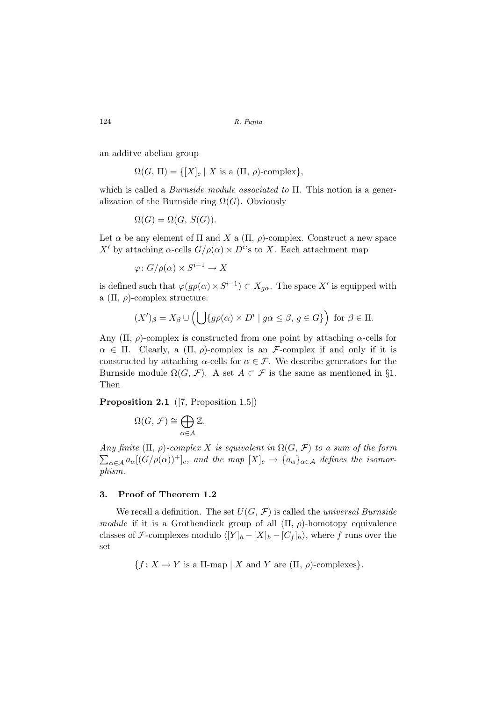124 R. Fujita

an additve abelian group

$$
\Omega(G, \Pi) = \{ [X]_c \mid X \text{ is a } (\Pi, \rho)\text{-complex} \},
$$

which is called a Burnside module associated to Π. This notion is a generalization of the Burnside ring  $\Omega(G)$ . Obviously

$$
\Omega(G) = \Omega(G, S(G)).
$$

Let  $\alpha$  be any element of  $\Pi$  and  $X$  a  $(\Pi, \rho)$ -complex. Construct a new space X' by attaching  $\alpha$ -cells  $G/\rho(\alpha) \times D^{i}$ 's to X. Each attachment map

 $\varphi\colon G/\rho(\alpha)\times S^{i-1}\to X$ 

is defined such that  $\varphi(g\rho(\alpha) \times S^{i-1}) \subset X_{g\alpha}$ . The space X' is equipped with a  $(\Pi, \rho)$ -complex structure:

$$
(X')_{\beta}=X_{\beta}\cup\left(\bigcup\{g\rho(\alpha)\times D^i\mid g\alpha\leq \beta,\,g\in G\}\right)\,\,\text{for}\,\,\beta\in\Pi.
$$

Any  $(\Pi, \rho)$ -complex is constructed from one point by attaching  $\alpha$ -cells for  $\alpha \in \Pi$ . Clearly, a  $(\Pi, \rho)$ -complex is an *F*-complex if and only if it is constructed by attaching  $\alpha$ -cells for  $\alpha \in \mathcal{F}$ . We describe generators for the Burnside module  $\Omega(G, \mathcal{F})$ . A set  $A \subset \mathcal{F}$  is the same as mentioned in §1. Then

Proposition 2.1 ([7, Proposition 1.5])

$$
\Omega(G,\mathcal{F})\cong \bigoplus_{\alpha\in\mathcal{A}}\mathbb{Z}.
$$

Any finite  $(\Pi, \rho)$ -complex X is equivalent in  $\Omega(G, \mathcal{F})$  to a sum of the form  $\sum_{\alpha\in\mathcal{A}} a_{\alpha}[(G/\rho(\alpha))^+]_c$ , and the map  $[X]_c \to \{a_{\alpha}\}_{{\alpha}\in\mathcal{A}}$  defines the isomorphism.

## 3. Proof of Theorem 1.2

We recall a definition. The set  $U(G, \mathcal{F})$  is called the universal Burnside module if it is a Grothendieck group of all  $(\Pi, \rho)$ -homotopy equivalence classes of F-complexes modulo  $\langle [Y]_h - [X]_h - [C_f]_h \rangle$ , where f runs over the set

 ${f : X \to Y \text{ is a } \Pi\text{-map} \mid X \text{ and } Y \text{ are } (\Pi, \rho)\text{-complexes}}.$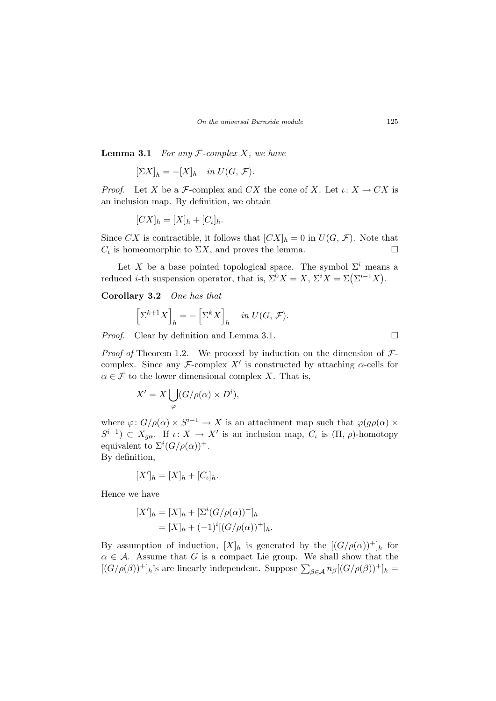**Lemma 3.1** For any  $F$ -complex X, we have

$$
[\Sigma X]_h = -[X]_h \quad \text{in } U(G, \mathcal{F}).
$$

*Proof.* Let X be a F-complex and CX the cone of X. Let  $\iota: X \to CX$  is an inclusion map. By definition, we obtain

$$
[CX]_h = [X]_h + [C_{\iota}]_h.
$$

Since CX is contractible, it follows that  $[CX]_h = 0$  in  $U(G, \mathcal{F})$ . Note that  $C_t$  is homeomorphic to  $\Sigma X$ , and proves the lemma.

Let X be a base pointed topological space. The symbol  $\Sigma^i$  means a Let X be a base pointed topological space. The symbol  $\Sigma$  mean<br>reduced *i*-th suspension operator, that is,  $\Sigma^0 X = X$ ,  $\Sigma^i X = \Sigma(\Sigma^{i-1} X)$ .

Corollary 3.2 One has that

$$
\left[\Sigma^{k+1}X\right]_h = -\left[\Sigma^k X\right]_h \quad in \ U(G, \mathcal{F}).
$$

*Proof.* Clear by definition and Lemma 3.1.  $\Box$ 

*Proof of* Theorem 1.2. We proceed by induction on the dimension of  $\mathcal{F}$ complex. Since any F-complex  $X'$  is constructed by attaching  $\alpha$ -cells for  $\alpha \in \mathcal{F}$  to the lower dimensional complex X. That is,

$$
X' = X \bigcup_{\varphi} (G/\rho(\alpha) \times D^i),
$$

where  $\varphi: G/\rho(\alpha) \times S^{i-1} \to X$  is an attachment map such that  $\varphi(g\rho(\alpha)) \times$  $S^{i-1}$ )  $\subset X_{g\alpha}$ . If  $\iota: X \to X'$  is an inclusion map,  $C_{\iota}$  is  $(\Pi, \rho)$ -homotopy equivalent to  $\Sigma^{i}(G/\rho(\alpha))^{+}$ .

By definition,

$$
[X']_h = [X]_h + [C_{\iota}]_h.
$$

Hence we have

$$
[X']_h = [X]_h + [\Sigma^i (G/\rho(\alpha))^+]_h
$$
  
=  $[X]_h + (-1)^i [(G/\rho(\alpha))^+]_h.$ 

By assumption of induction,  $[X]_h$  is generated by the  $[(G/\rho(\alpha))^+]_h$  for  $\alpha \in \mathcal{A}$ . Assume that G is a compact Lie group. We shall show that the  $(\alpha \in \mathcal{A})$ . Assume that G is a compact Lie group. We shall show that the  $[(G/\rho(\beta))^+]_h$ 's are linearly independent. Suppose  $\sum_{\beta \in \mathcal{A}} n_{\beta} [(G/\rho(\beta))^+]_h =$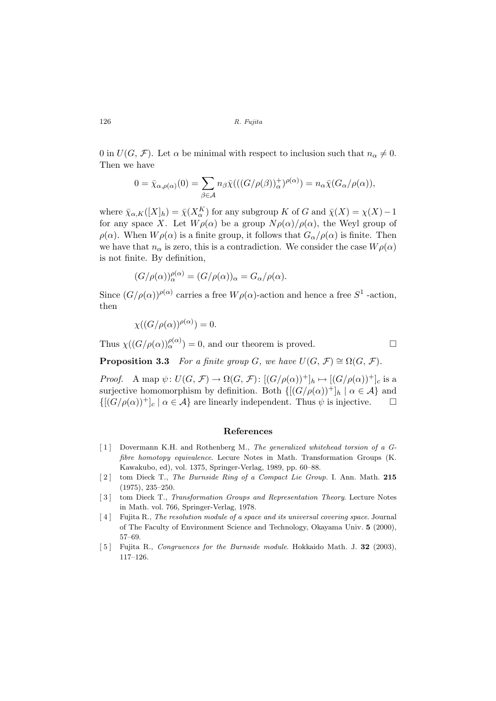126 R. Fujita

0 in  $U(G, \mathcal{F})$ . Let  $\alpha$  be minimal with respect to inclusion such that  $n_{\alpha} \neq 0$ . Then we have

$$
0 = \bar{\chi}_{\alpha,\rho(\alpha)}(0) = \sum_{\beta \in \mathcal{A}} n_{\beta} \bar{\chi}(((G/\rho(\beta)))^+_{\alpha})^{\rho(\alpha)}) = n_{\alpha} \bar{\chi}(G_{\alpha}/\rho(\alpha)),
$$

where  $\bar{\chi}_{\alpha,K}([X]_h) = \bar{\chi}(X_{\alpha}^K)$  for any subgroup K of G and  $\bar{\chi}(X) = \chi(X) - 1$ for any space X. Let  $W\rho(\alpha)$  be a group  $N\rho(\alpha)/\rho(\alpha)$ , the Weyl group of  $\rho(\alpha)$ . When  $W\rho(\alpha)$  is a finite group, it follows that  $G_{\alpha}/\rho(\alpha)$  is finite. Then we have that  $n_{\alpha}$  is zero, this is a contradiction. We consider the case  $W\rho(\alpha)$ is not finite. By definition,

$$
(G/\rho(\alpha))_{\alpha}^{\rho(\alpha)} = (G/\rho(\alpha))_{\alpha} = G_{\alpha}/\rho(\alpha).
$$

Since  $(G/\rho(\alpha))^{(\rho(\alpha))}$  carries a free  $W\rho(\alpha)$ -action and hence a free  $S^1$ -action, then

$$
\chi((G/\rho(\alpha))^{\rho(\alpha)})=0.
$$

Thus  $\chi((G/\rho(\alpha))_{\alpha}^{\rho(\alpha)})=0$ , and our theorem is proved.

**Proposition 3.3** For a finite group G, we have  $U(G, \mathcal{F}) \cong \Omega(G, \mathcal{F})$ .

*Proof.* A map  $\psi: U(G, \mathcal{F}) \to \Omega(G, \mathcal{F}): [(G/\rho(\alpha))^+]_h \mapsto [(G/\rho(\alpha))^+]_c$  is a surjective homomorphism by definition. Both  $\{[(G/\rho(\alpha))^+]_h \mid \alpha \in \mathcal{A}\}\$ and  $\{[(G/\rho(\alpha))^+]_c \mid \alpha \in \mathcal{A}\}\$ are linearly independent. Thus  $\psi$  is injective.  $\Box$ 

#### References

- [1] Dovermann K.H. and Rothenberg M., The generalized whitehead torsion of a Gfibre homotopy equivalence. Lecure Notes in Math. Transformation Groups (K. Kawakubo, ed), vol. 1375, Springer-Verlag, 1989, pp. 60–88.
- [2] tom Dieck T., The Burnside Ring of a Compact Lie Group. I. Ann. Math. 215 (1975), 235–250.
- [3] tom Dieck T., Transformation Groups and Representation Theory. Lecture Notes in Math. vol. 766, Springer-Verlag, 1978.
- [4] Fujita R., The resolution module of a space and its universal covering space. Journal of The Faculty of Environment Science and Technology, Okayama Univ. 5 (2000), 57–69.
- [5] Fujita R., Congruences for the Burnside module. Hokkaido Math. J. 32 (2003), 117–126.